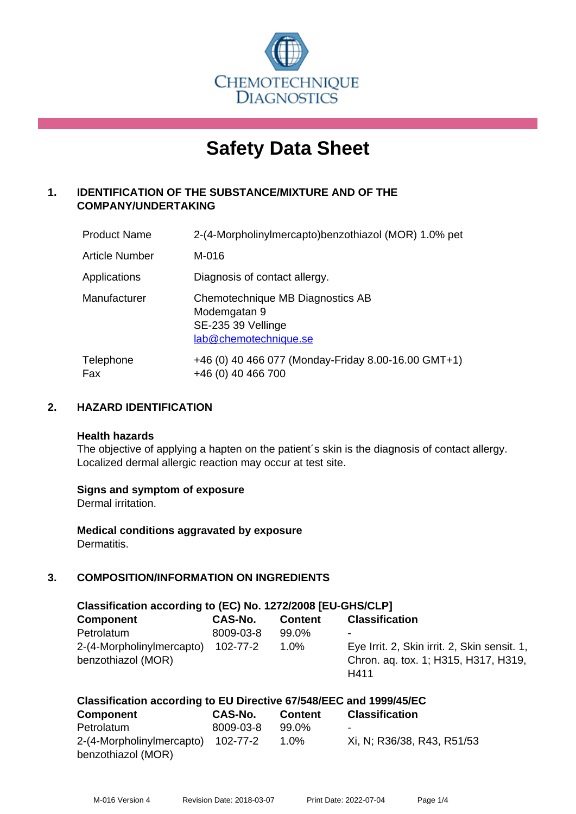

# **Safety Data Sheet**

# **1. IDENTIFICATION OF THE SUBSTANCE/MIXTURE AND OF THE COMPANY/UNDERTAKING**

| <b>Product Name</b> | 2-(4-Morpholinylmercapto)benzothiazol (MOR) 1.0% pet                                            |
|---------------------|-------------------------------------------------------------------------------------------------|
| Article Number      | M-016                                                                                           |
| Applications        | Diagnosis of contact allergy.                                                                   |
| Manufacturer        | Chemotechnique MB Diagnostics AB<br>Modemgatan 9<br>SE-235 39 Vellinge<br>lab@chemotechnique.se |
| Telephone<br>Fax    | +46 (0) 40 466 077 (Monday-Friday 8.00-16.00 GMT+1)<br>+46 (0) 40 466 700                       |

#### **2. HAZARD IDENTIFICATION**

#### **Health hazards**

The objective of applying a hapten on the patient's skin is the diagnosis of contact allergy. Localized dermal allergic reaction may occur at test site.

#### **Signs and symptom of exposure**

Dermal irritation.

**Medical conditions aggravated by exposure** Dermatitis.

# **3. COMPOSITION/INFORMATION ON INGREDIENTS**

| Classification according to (EC) No. 1272/2008 [EU-GHS/CLP] |           |                |                                              |  |
|-------------------------------------------------------------|-----------|----------------|----------------------------------------------|--|
| <b>Component</b>                                            | CAS-No.   | <b>Content</b> | <b>Classification</b>                        |  |
| Petrolatum                                                  | 8009-03-8 | 99.0%          | -                                            |  |
| 2-(4-Morpholinylmercapto)                                   | 102-77-2  | 1.0%           | Eye Irrit. 2, Skin irrit. 2, Skin sensit. 1, |  |
| benzothiazol (MOR)                                          |           |                | Chron. aq. tox. 1; H315, H317, H319,         |  |
|                                                             |           |                | H411                                         |  |

| Classification according to EU Directive 67/548/EEC and 1999/45/EC |           |                |                            |  |
|--------------------------------------------------------------------|-----------|----------------|----------------------------|--|
| Component                                                          | CAS-No.   | <b>Content</b> | <b>Classification</b>      |  |
| Petrolatum                                                         | 8009-03-8 | 99.0%          | ۰                          |  |
| 2-(4-Morpholinylmercapto) 102-77-2                                 |           | $1.0\%$        | Xi, N; R36/38, R43, R51/53 |  |
| benzothiazol (MOR)                                                 |           |                |                            |  |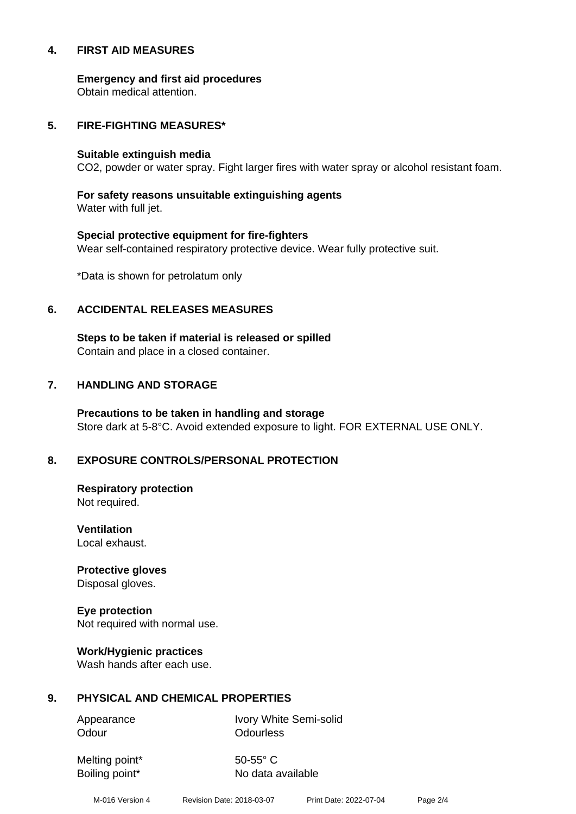#### **4. FIRST AID MEASURES**

**Emergency and first aid procedures**

Obtain medical attention.

#### **5. FIRE-FIGHTING MEASURES\***

#### **Suitable extinguish media**

CO2, powder or water spray. Fight larger fires with water spray or alcohol resistant foam.

# **For safety reasons unsuitable extinguishing agents**

Water with full jet.

# **Special protective equipment for fire-fighters** Wear self-contained respiratory protective device. Wear fully protective suit.

\*Data is shown for petrolatum only

#### **6. ACCIDENTAL RELEASES MEASURES**

**Steps to be taken if material is released or spilled** Contain and place in a closed container.

# **7. HANDLING AND STORAGE**

**Precautions to be taken in handling and storage** Store dark at 5-8°C. Avoid extended exposure to light. FOR EXTERNAL USE ONLY.

# **8. EXPOSURE CONTROLS/PERSONAL PROTECTION**

**Respiratory protection** Not required.

**Ventilation** Local exhaust.

**Protective gloves** Disposal gloves.

# **Eye protection**

Not required with normal use.

#### **Work/Hygienic practices**

Wash hands after each use.

#### **9. PHYSICAL AND CHEMICAL PROPERTIES**

Odour **Odourless** 

Appearance Ivory White Semi-solid

Melting point\* 50-55° C

Boiling point\* No data available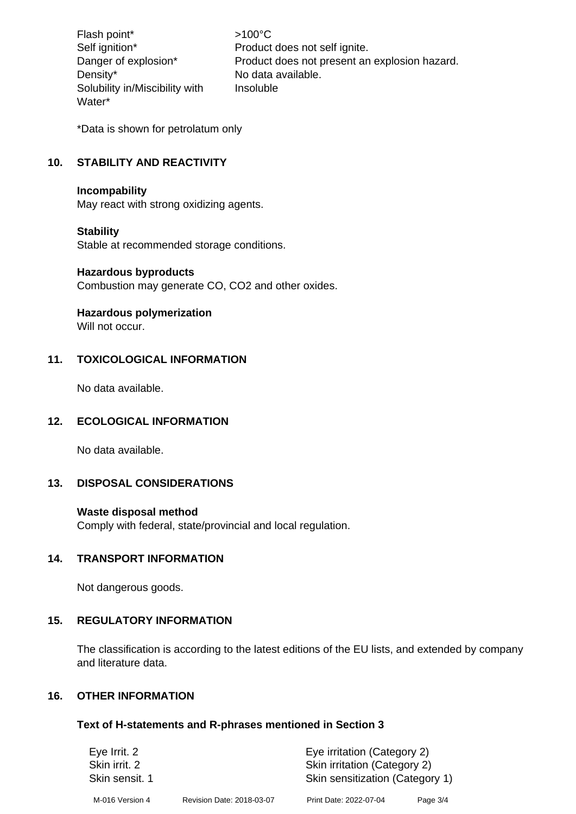Flash point\*  $>100^{\circ}$ C Density\* No data available. Solubility in/Miscibility with Water\*

Self ignition\* Product does not self ignite. Danger of explosion\* Product does not present an explosion hazard. Insoluble

\*Data is shown for petrolatum only

# **10. STABILITY AND REACTIVITY**

#### **Incompability**

May react with strong oxidizing agents.

#### **Stability**

Stable at recommended storage conditions.

#### **Hazardous byproducts**

Combustion may generate CO, CO2 and other oxides.

#### **Hazardous polymerization**

Will not occur.

#### **11. TOXICOLOGICAL INFORMATION**

No data available.

#### **12. ECOLOGICAL INFORMATION**

No data available.

#### **13. DISPOSAL CONSIDERATIONS**

#### **Waste disposal method**

Comply with federal, state/provincial and local regulation.

#### **14. TRANSPORT INFORMATION**

Not dangerous goods.

#### **15. REGULATORY INFORMATION**

The classification is according to the latest editions of the EU lists, and extended by company and literature data.

#### **16. OTHER INFORMATION**

#### **Text of H-statements and R-phrases mentioned in Section 3**

| Eye Irrit. 2<br>Skin irrit, 2 |                           | Eye irritation (Category 2)<br>Skin irritation (Category 2) |          |  |
|-------------------------------|---------------------------|-------------------------------------------------------------|----------|--|
| Skin sensit. 1                |                           | Skin sensitization (Category 1)                             |          |  |
| M-016 Version 4               | Revision Date: 2018-03-07 | Print Date: 2022-07-04                                      | Page 3/4 |  |